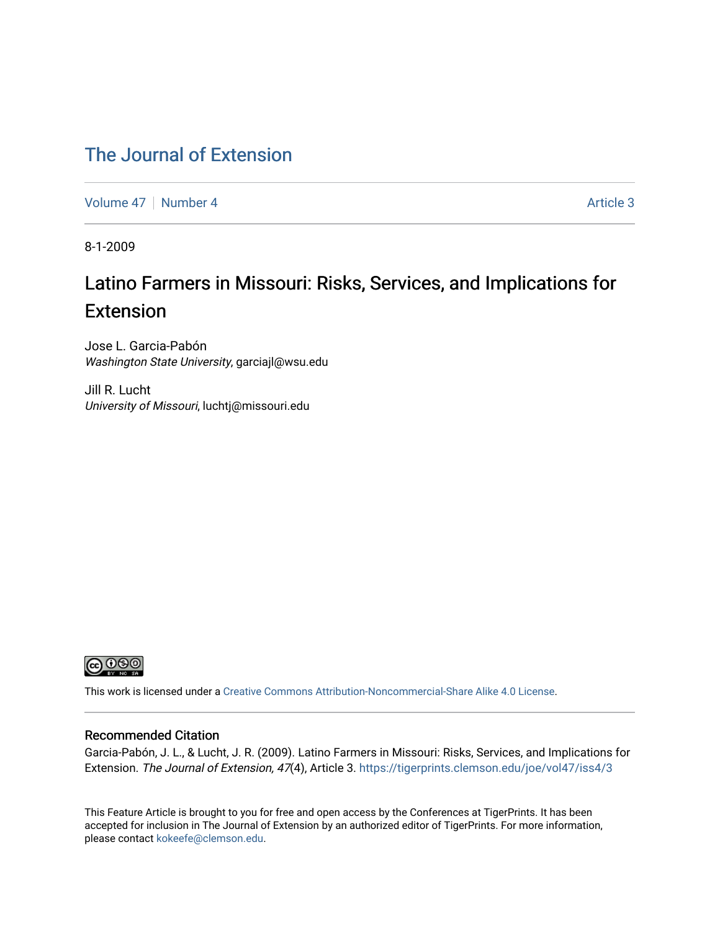### [The Journal of Extension](https://tigerprints.clemson.edu/joe)

[Volume 47](https://tigerprints.clemson.edu/joe/vol47) | [Number 4](https://tigerprints.clemson.edu/joe/vol47/iss4) Article 3

8-1-2009

## Latino Farmers in Missouri: Risks, Services, and Implications for Extension

Jose L. Garcia-Pabón Washington State University, garciajl@wsu.edu

Jill R. Lucht University of Missouri, luchtj@missouri.edu



This work is licensed under a [Creative Commons Attribution-Noncommercial-Share Alike 4.0 License.](https://creativecommons.org/licenses/by-nc-sa/4.0/)

#### Recommended Citation

Garcia-Pabón, J. L., & Lucht, J. R. (2009). Latino Farmers in Missouri: Risks, Services, and Implications for Extension. The Journal of Extension, 47(4), Article 3. <https://tigerprints.clemson.edu/joe/vol47/iss4/3>

This Feature Article is brought to you for free and open access by the Conferences at TigerPrints. It has been accepted for inclusion in The Journal of Extension by an authorized editor of TigerPrints. For more information, please contact [kokeefe@clemson.edu](mailto:kokeefe@clemson.edu).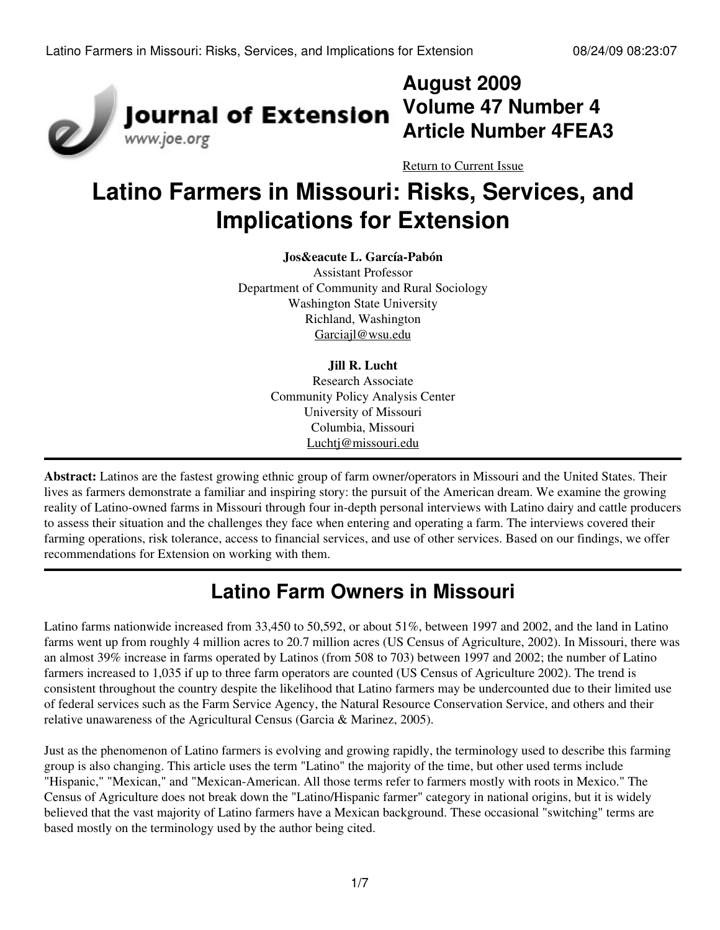

## **August 2009 Volume 47 Number 4 Article Number 4FEA3**

[Return to Current Issue](http://www.joe.org:80/joe/2009august/)

# **Latino Farmers in Missouri: Risks, Services, and Implications for Extension**

#### **Jos&eacute L. García-Pabón**

Assistant Professor Department of Community and Rural Sociology Washington State University Richland, Washington [Garciajl@wsu.edu](mailto:Garciajl@wsu.edu)

#### **Jill R. Lucht**

Research Associate Community Policy Analysis Center University of Missouri Columbia, Missouri [Luchtj@missouri.edu](mailto:Luchtj@missouri.edu)

**Abstract:** Latinos are the fastest growing ethnic group of farm owner/operators in Missouri and the United States. Their lives as farmers demonstrate a familiar and inspiring story: the pursuit of the American dream. We examine the growing reality of Latino-owned farms in Missouri through four in-depth personal interviews with Latino dairy and cattle producers to assess their situation and the challenges they face when entering and operating a farm. The interviews covered their farming operations, risk tolerance, access to financial services, and use of other services. Based on our findings, we offer recommendations for Extension on working with them.

## **Latino Farm Owners in Missouri**

Latino farms nationwide increased from 33,450 to 50,592, or about 51%, between 1997 and 2002, and the land in Latino farms went up from roughly 4 million acres to 20.7 million acres (US Census of Agriculture, 2002). In Missouri, there was an almost 39% increase in farms operated by Latinos (from 508 to 703) between 1997 and 2002; the number of Latino farmers increased to 1,035 if up to three farm operators are counted (US Census of Agriculture 2002). The trend is consistent throughout the country despite the likelihood that Latino farmers may be undercounted due to their limited use of federal services such as the Farm Service Agency, the Natural Resource Conservation Service, and others and their relative unawareness of the Agricultural Census (Garcia & Marinez, 2005).

Just as the phenomenon of Latino farmers is evolving and growing rapidly, the terminology used to describe this farming group is also changing. This article uses the term "Latino" the majority of the time, but other used terms include "Hispanic," "Mexican," and "Mexican-American. All those terms refer to farmers mostly with roots in Mexico." The Census of Agriculture does not break down the "Latino/Hispanic farmer" category in national origins, but it is widely believed that the vast majority of Latino farmers have a Mexican background. These occasional "switching" terms are based mostly on the terminology used by the author being cited.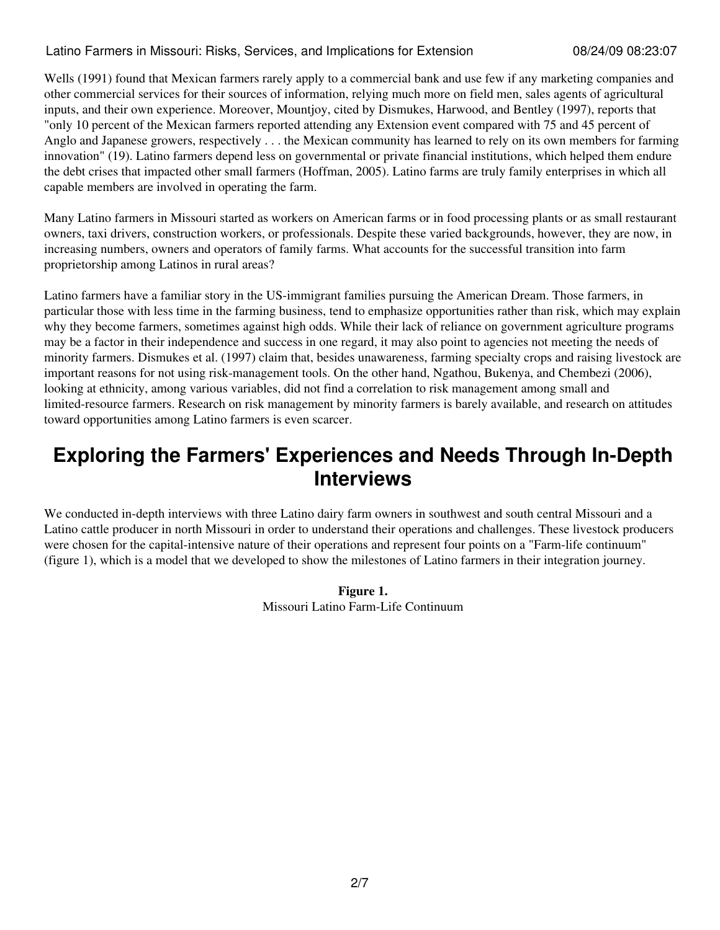#### Latino Farmers in Missouri: Risks, Services, and Implications for Extension 08/24/09 08:23:07

Wells (1991) found that Mexican farmers rarely apply to a commercial bank and use few if any marketing companies and other commercial services for their sources of information, relying much more on field men, sales agents of agricultural inputs, and their own experience. Moreover, Mountjoy, cited by Dismukes, Harwood, and Bentley (1997), reports that "only 10 percent of the Mexican farmers reported attending any Extension event compared with 75 and 45 percent of Anglo and Japanese growers, respectively . . . the Mexican community has learned to rely on its own members for farming innovation" (19). Latino farmers depend less on governmental or private financial institutions, which helped them endure the debt crises that impacted other small farmers (Hoffman, 2005). Latino farms are truly family enterprises in which all capable members are involved in operating the farm.

Many Latino farmers in Missouri started as workers on American farms or in food processing plants or as small restaurant owners, taxi drivers, construction workers, or professionals. Despite these varied backgrounds, however, they are now, in increasing numbers, owners and operators of family farms. What accounts for the successful transition into farm proprietorship among Latinos in rural areas?

Latino farmers have a familiar story in the US-immigrant families pursuing the American Dream. Those farmers, in particular those with less time in the farming business, tend to emphasize opportunities rather than risk, which may explain why they become farmers, sometimes against high odds. While their lack of reliance on government agriculture programs may be a factor in their independence and success in one regard, it may also point to agencies not meeting the needs of minority farmers. Dismukes et al. (1997) claim that, besides unawareness, farming specialty crops and raising livestock are important reasons for not using risk-management tools. On the other hand, Ngathou, Bukenya, and Chembezi (2006), looking at ethnicity, among various variables, did not find a correlation to risk management among small and limited-resource farmers. Research on risk management by minority farmers is barely available, and research on attitudes toward opportunities among Latino farmers is even scarcer.

## **Exploring the Farmers' Experiences and Needs Through In-Depth Interviews**

We conducted in-depth interviews with three Latino dairy farm owners in southwest and south central Missouri and a Latino cattle producer in north Missouri in order to understand their operations and challenges. These livestock producers were chosen for the capital-intensive nature of their operations and represent four points on a "Farm-life continuum" (figure 1), which is a model that we developed to show the milestones of Latino farmers in their integration journey.

#### **Figure 1.** Missouri Latino Farm-Life Continuum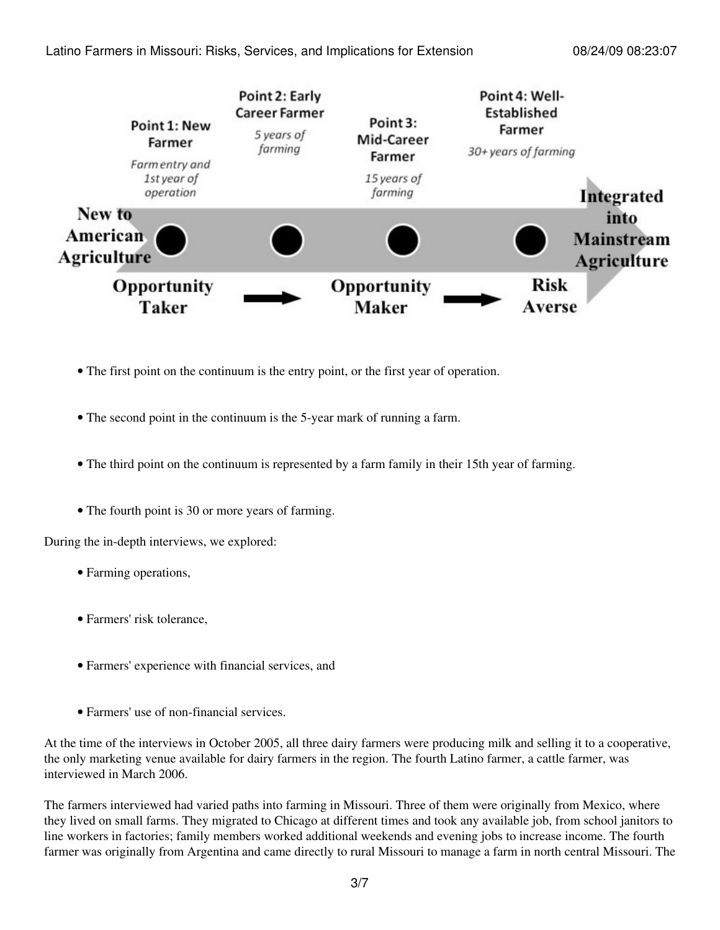

- The first point on the continuum is the entry point, or the first year of operation.
- The second point in the continuum is the 5-year mark of running a farm.
- The third point on the continuum is represented by a farm family in their 15th year of farming.
- The fourth point is 30 or more years of farming.

During the in-depth interviews, we explored:

- Farming operations,
- Farmers' risk tolerance,
- Farmers' experience with financial services, and
- Farmers' use of non-financial services.

At the time of the interviews in October 2005, all three dairy farmers were producing milk and selling it to a cooperative, the only marketing venue available for dairy farmers in the region. The fourth Latino farmer, a cattle farmer, was interviewed in March 2006.

The farmers interviewed had varied paths into farming in Missouri. Three of them were originally from Mexico, where they lived on small farms. They migrated to Chicago at different times and took any available job, from school janitors to line workers in factories; family members worked additional weekends and evening jobs to increase income. The fourth farmer was originally from Argentina and came directly to rural Missouri to manage a farm in north central Missouri. The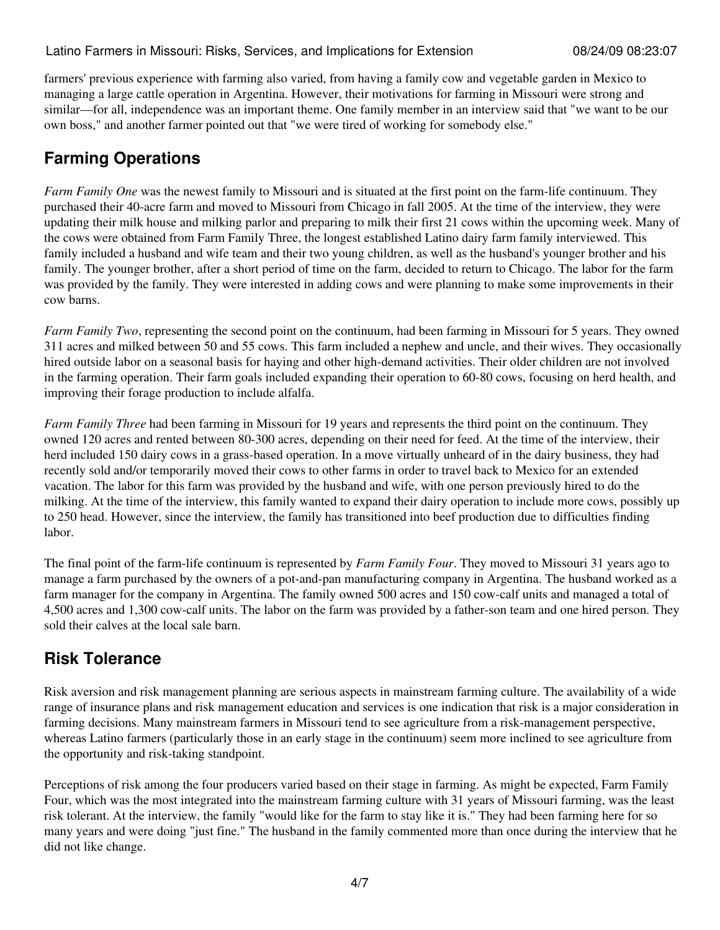farmers' previous experience with farming also varied, from having a family cow and vegetable garden in Mexico to managing a large cattle operation in Argentina. However, their motivations for farming in Missouri were strong and similar—for all, independence was an important theme. One family member in an interview said that "we want to be our own boss," and another farmer pointed out that "we were tired of working for somebody else."

### **Farming Operations**

*Farm Family One* was the newest family to Missouri and is situated at the first point on the farm-life continuum. They purchased their 40-acre farm and moved to Missouri from Chicago in fall 2005. At the time of the interview, they were updating their milk house and milking parlor and preparing to milk their first 21 cows within the upcoming week. Many of the cows were obtained from Farm Family Three, the longest established Latino dairy farm family interviewed. This family included a husband and wife team and their two young children, as well as the husband's younger brother and his family. The younger brother, after a short period of time on the farm, decided to return to Chicago. The labor for the farm was provided by the family. They were interested in adding cows and were planning to make some improvements in their cow barns.

*Farm Family Two*, representing the second point on the continuum, had been farming in Missouri for 5 years. They owned 311 acres and milked between 50 and 55 cows. This farm included a nephew and uncle, and their wives. They occasionally hired outside labor on a seasonal basis for haying and other high-demand activities. Their older children are not involved in the farming operation. Their farm goals included expanding their operation to 60-80 cows, focusing on herd health, and improving their forage production to include alfalfa.

*Farm Family Three* had been farming in Missouri for 19 years and represents the third point on the continuum. They owned 120 acres and rented between 80-300 acres, depending on their need for feed. At the time of the interview, their herd included 150 dairy cows in a grass-based operation. In a move virtually unheard of in the dairy business, they had recently sold and/or temporarily moved their cows to other farms in order to travel back to Mexico for an extended vacation. The labor for this farm was provided by the husband and wife, with one person previously hired to do the milking. At the time of the interview, this family wanted to expand their dairy operation to include more cows, possibly up to 250 head. However, since the interview, the family has transitioned into beef production due to difficulties finding labor.

The final point of the farm-life continuum is represented by *Farm Family Four*. They moved to Missouri 31 years ago to manage a farm purchased by the owners of a pot-and-pan manufacturing company in Argentina. The husband worked as a farm manager for the company in Argentina. The family owned 500 acres and 150 cow-calf units and managed a total of 4,500 acres and 1,300 cow-calf units. The labor on the farm was provided by a father-son team and one hired person. They sold their calves at the local sale barn.

### **Risk Tolerance**

Risk aversion and risk management planning are serious aspects in mainstream farming culture. The availability of a wide range of insurance plans and risk management education and services is one indication that risk is a major consideration in farming decisions. Many mainstream farmers in Missouri tend to see agriculture from a risk-management perspective, whereas Latino farmers (particularly those in an early stage in the continuum) seem more inclined to see agriculture from the opportunity and risk-taking standpoint.

Perceptions of risk among the four producers varied based on their stage in farming. As might be expected, Farm Family Four, which was the most integrated into the mainstream farming culture with 31 years of Missouri farming, was the least risk tolerant. At the interview, the family "would like for the farm to stay like it is." They had been farming here for so many years and were doing "just fine." The husband in the family commented more than once during the interview that he did not like change.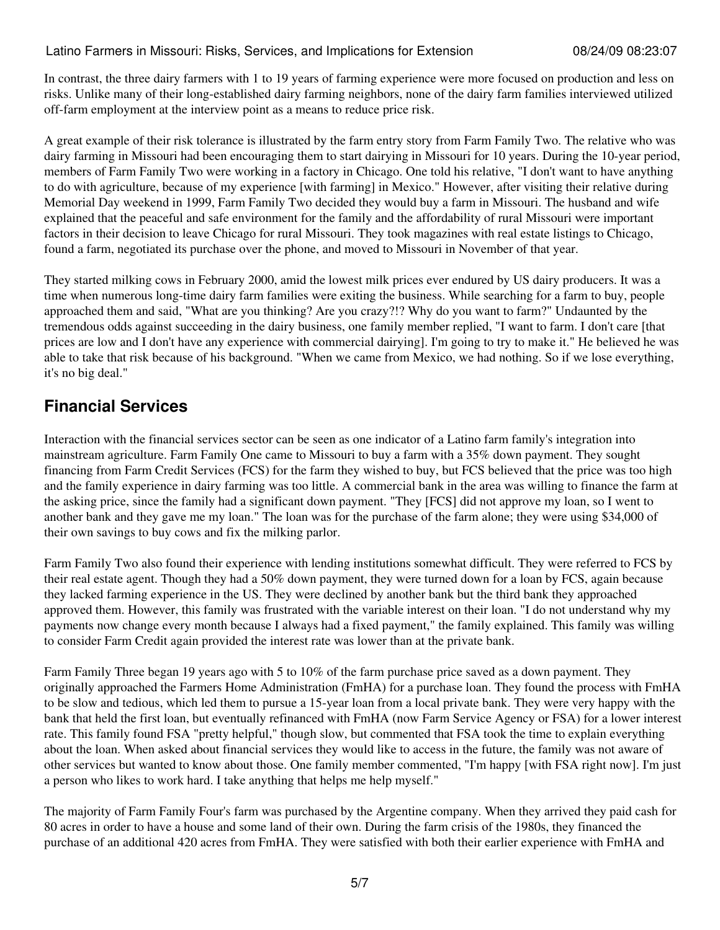In contrast, the three dairy farmers with 1 to 19 years of farming experience were more focused on production and less on risks. Unlike many of their long-established dairy farming neighbors, none of the dairy farm families interviewed utilized off-farm employment at the interview point as a means to reduce price risk.

A great example of their risk tolerance is illustrated by the farm entry story from Farm Family Two. The relative who was dairy farming in Missouri had been encouraging them to start dairying in Missouri for 10 years. During the 10-year period, members of Farm Family Two were working in a factory in Chicago. One told his relative, "I don't want to have anything to do with agriculture, because of my experience [with farming] in Mexico." However, after visiting their relative during Memorial Day weekend in 1999, Farm Family Two decided they would buy a farm in Missouri. The husband and wife explained that the peaceful and safe environment for the family and the affordability of rural Missouri were important factors in their decision to leave Chicago for rural Missouri. They took magazines with real estate listings to Chicago, found a farm, negotiated its purchase over the phone, and moved to Missouri in November of that year.

They started milking cows in February 2000, amid the lowest milk prices ever endured by US dairy producers. It was a time when numerous long-time dairy farm families were exiting the business. While searching for a farm to buy, people approached them and said, "What are you thinking? Are you crazy?!? Why do you want to farm?" Undaunted by the tremendous odds against succeeding in the dairy business, one family member replied, "I want to farm. I don't care [that prices are low and I don't have any experience with commercial dairying]. I'm going to try to make it." He believed he was able to take that risk because of his background. "When we came from Mexico, we had nothing. So if we lose everything, it's no big deal."

#### **Financial Services**

Interaction with the financial services sector can be seen as one indicator of a Latino farm family's integration into mainstream agriculture. Farm Family One came to Missouri to buy a farm with a 35% down payment. They sought financing from Farm Credit Services (FCS) for the farm they wished to buy, but FCS believed that the price was too high and the family experience in dairy farming was too little. A commercial bank in the area was willing to finance the farm at the asking price, since the family had a significant down payment. "They [FCS] did not approve my loan, so I went to another bank and they gave me my loan." The loan was for the purchase of the farm alone; they were using \$34,000 of their own savings to buy cows and fix the milking parlor.

Farm Family Two also found their experience with lending institutions somewhat difficult. They were referred to FCS by their real estate agent. Though they had a 50% down payment, they were turned down for a loan by FCS, again because they lacked farming experience in the US. They were declined by another bank but the third bank they approached approved them. However, this family was frustrated with the variable interest on their loan. "I do not understand why my payments now change every month because I always had a fixed payment," the family explained. This family was willing to consider Farm Credit again provided the interest rate was lower than at the private bank.

Farm Family Three began 19 years ago with 5 to 10% of the farm purchase price saved as a down payment. They originally approached the Farmers Home Administration (FmHA) for a purchase loan. They found the process with FmHA to be slow and tedious, which led them to pursue a 15-year loan from a local private bank. They were very happy with the bank that held the first loan, but eventually refinanced with FmHA (now Farm Service Agency or FSA) for a lower interest rate. This family found FSA "pretty helpful," though slow, but commented that FSA took the time to explain everything about the loan. When asked about financial services they would like to access in the future, the family was not aware of other services but wanted to know about those. One family member commented, "I'm happy [with FSA right now]. I'm just a person who likes to work hard. I take anything that helps me help myself."

The majority of Farm Family Four's farm was purchased by the Argentine company. When they arrived they paid cash for 80 acres in order to have a house and some land of their own. During the farm crisis of the 1980s, they financed the purchase of an additional 420 acres from FmHA. They were satisfied with both their earlier experience with FmHA and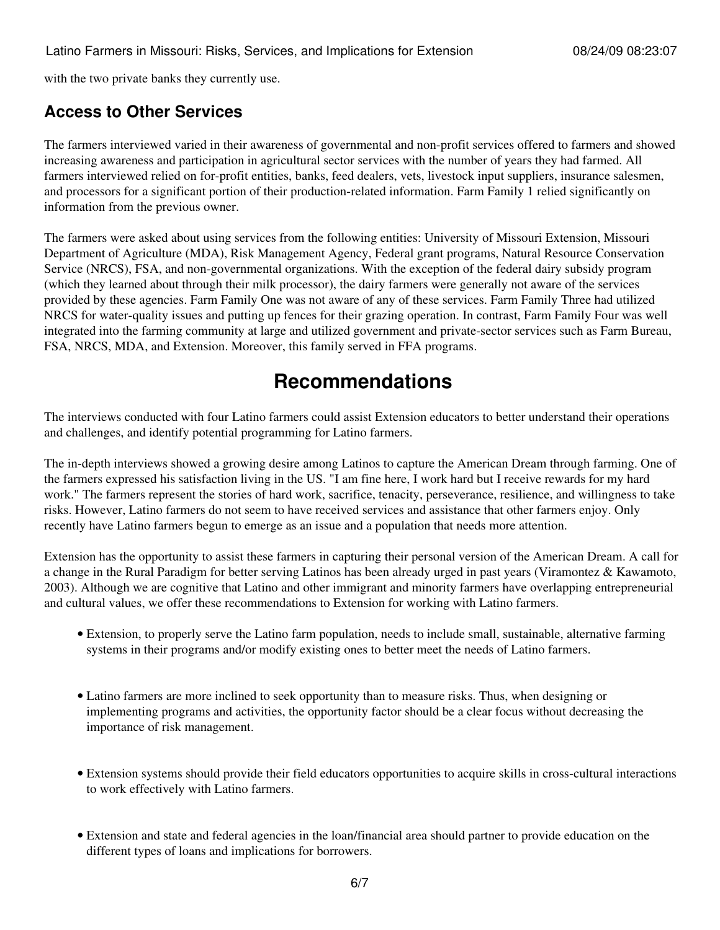with the two private banks they currently use.

#### **Access to Other Services**

The farmers interviewed varied in their awareness of governmental and non-profit services offered to farmers and showed increasing awareness and participation in agricultural sector services with the number of years they had farmed. All farmers interviewed relied on for-profit entities, banks, feed dealers, vets, livestock input suppliers, insurance salesmen, and processors for a significant portion of their production-related information. Farm Family 1 relied significantly on information from the previous owner.

The farmers were asked about using services from the following entities: University of Missouri Extension, Missouri Department of Agriculture (MDA), Risk Management Agency, Federal grant programs, Natural Resource Conservation Service (NRCS), FSA, and non-governmental organizations. With the exception of the federal dairy subsidy program (which they learned about through their milk processor), the dairy farmers were generally not aware of the services provided by these agencies. Farm Family One was not aware of any of these services. Farm Family Three had utilized NRCS for water-quality issues and putting up fences for their grazing operation. In contrast, Farm Family Four was well integrated into the farming community at large and utilized government and private-sector services such as Farm Bureau, FSA, NRCS, MDA, and Extension. Moreover, this family served in FFA programs.

## **Recommendations**

The interviews conducted with four Latino farmers could assist Extension educators to better understand their operations and challenges, and identify potential programming for Latino farmers.

The in-depth interviews showed a growing desire among Latinos to capture the American Dream through farming. One of the farmers expressed his satisfaction living in the US. "I am fine here, I work hard but I receive rewards for my hard work." The farmers represent the stories of hard work, sacrifice, tenacity, perseverance, resilience, and willingness to take risks. However, Latino farmers do not seem to have received services and assistance that other farmers enjoy. Only recently have Latino farmers begun to emerge as an issue and a population that needs more attention.

Extension has the opportunity to assist these farmers in capturing their personal version of the American Dream. A call for a change in the Rural Paradigm for better serving Latinos has been already urged in past years (Viramontez & Kawamoto, 2003). Although we are cognitive that Latino and other immigrant and minority farmers have overlapping entrepreneurial and cultural values, we offer these recommendations to Extension for working with Latino farmers.

- Extension, to properly serve the Latino farm population, needs to include small, sustainable, alternative farming systems in their programs and/or modify existing ones to better meet the needs of Latino farmers.
- Latino farmers are more inclined to seek opportunity than to measure risks. Thus, when designing or implementing programs and activities, the opportunity factor should be a clear focus without decreasing the importance of risk management.
- Extension systems should provide their field educators opportunities to acquire skills in cross-cultural interactions to work effectively with Latino farmers.
- Extension and state and federal agencies in the loan/financial area should partner to provide education on the different types of loans and implications for borrowers.